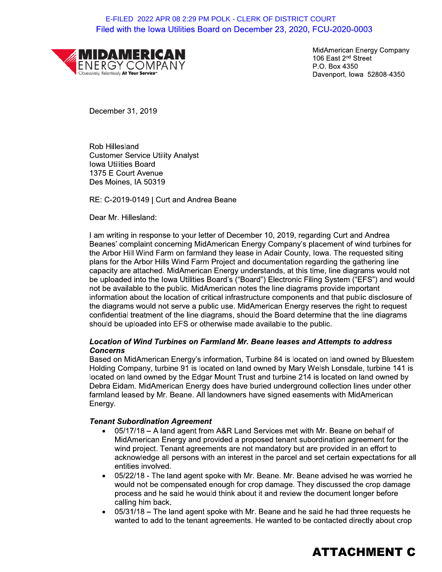# E-FILED 2022 APR 08 2:29 PM POLK - CLERK OF DISTRICT COURT<br>
Filed with the lowa Utilities Board on December 23, 2020, FCU-2020-0003<br>
MidAmerican Energy Company<br>
106 East 2<sup>nd</sup> Street<br>
P.O. Box 4350<br>
December 31, 2019<br>
Dece Filed with the lowa Utilities Board on December 23, 2020, FCU-2020-0003 E-FILED 2022 APR 08 2:29 PM POLK - CLERK OF DISTRICT COURT



MidAmerican Energy Company 106 East  $2<sup>na</sup>$  Street P.O. Box 4350 Davenport, Iowa

 $\kappa$ ob Hillesiand Customer Service Utility Analyst lowa Utilities Board 1375 E Court Avenue Des Moines, IA 50319

 $\mathbf{r}$ nd Andrea Beane

Dear Mr. Hillesland:

Rob Hillesland<br>
Customer Service Utility Analyst<br>
Iowa Utilities Board<br>
1375 E Court Avenue<br>
Des Moines, IA 50319<br>
RE: C-2019-0149 | Curt and Andre<br>
Dear Mr. Hillesland:<br>
I am writing in response to your let<br>
Beanes' compl I am writing in response to your letter of December 10, 2019, regarding Curt and Andrea<br>-Beanes complaint concerning MidAmerican Energy Company's placement of wind turbines for the Arbor Hill Wind Farm on farmiand they lease in Adair County, lowa. The requested siting plans for the Arbor Hills Wind Farm Project and documentation regarding the gathering line capacity are attached. MidAmerican Energy understands, at this time, line diagrams would not be uploaded into the lowa Utilities Board's ("Board") Electronic Filing System ("EFS") and would not be available to the public. MidAmerican notes the line diagrams provide important information about the location of critical infrastructure components and that public disclosure of the diagrams would not serve a public use. MidAmerican Energy reserves the right to request confidential treatment of the line diagrams, should the Board determine that the line diagrams  $\epsilon$  and the uploaded into EFS or otherwise made available to the public.

#### $\mathbb{R}^{\mathbb{Z}}$ Location of Wind Turbines on Farmiand Mr. Beane leases and Attempts to address<br>-Concerns

Based on MidAmerican Energy's information, Turbine 84 is located on land owned by Bluestem Holding Company, turbine 91 is located on land owned by Mary Weish Lonsdale, turbine 141 is located on land owned by the Edgar Mount Trust and turbine 214 is located on land owned by Debra Eldam. MidAmerican Energy does nave buried underground collection lines under other farmiand leased by Mr. Beane. All landowners have signed easements with MidAmerican<br>— Energy.

#### $\mathbf{r}$ **Tenant Subordination Agreement**

- $\bullet$   $\quad$  U5/17/18 A land agent from A&R Land Services met with Mr. Beane on benalf of MidAmerican Energy and provided a proposed tenant subordination agreement for the wind project. Tenant agreements are not mandatory but are provided in an effort to ackhowledge all persons with an interest in the parcel and set certain expectations for all Energy.<br>
Tenant Subordination Agreement<br>
• 05/17/18 – A land agent from A&<br>
MidAmerican Energy and provid<br>
wind project. Tenant agreements<br>
acknowledge all persons with ar<br>
entities involved.<br>
• 05/22/18 - The land agent s
	- nd agent spoke with Mr. Beane. Mr. Beane advised he was worrled he would not be compensated enough for crop damage. They discussed the crop damage process and he said he would think about it and review the document longer before cailing nim back.
	- $0.31/18 1$  he land agent spoke with Mr. Beane and he said he had three requests he wanted to add to the tenant agreements. He wanted to be contacted directly about crop

# ATTACHMENT C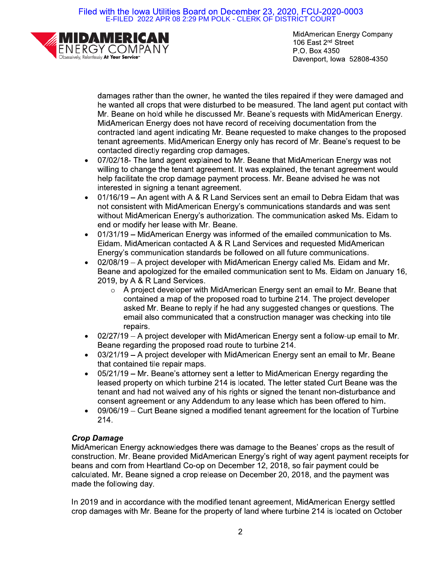Filed with the Iowa Utilities Board on December 23, 2020, FCU-2020-0003 E-FILED 2022 APR 08 2:29 PM POLK - CLERK OF DISTRICT COURT



MidAmerican Energy Company 106 East 2<sup>nd</sup> Street P.O. Box 4350 Davenport, Iowa 52808-4350

damages rather than the owner, he wanted the tiles repaired if they were damaged and he wanted all crops that were disturbed to be measured. The land agent put contact with Mr. Beane on hold while he discussed Mr. Beane's requests with MidAmerican Energy. MidAmerican Energy does not have record of receiving documentation from the contracted land agent indicating Mr. Beane requested to make changes to the proposed tenant agreements. MidAmerican Energy only has record of Mr. Beane's request to be contacted directly regarding crop damages.

- 07/02/18- The land agent explained to Mr. Beane that MidAmerican Energy was not  $\bullet$ willing to change the tenant agreement. It was explained, the tenant agreement would help facilitate the crop damage payment process. Mr. Beane advised he was not interested in signing a tenant agreement.
- 01/16/19 An agent with A & R Land Services sent an email to Debra Eidam that was  $\bullet$ not consistent with MidAmerican Energy's communications standards and was sent without MidAmerican Energy's authorization. The communication asked Ms. Eidam to end or modify her lease with Mr. Beane.
- 01/31/19 MidAmerican Energy was informed of the emailed communication to Ms. Eidam. MidAmerican contacted A & R Land Services and requested MidAmerican Energy's communication standards be followed on all future communications.
- 02/08/19 A project developer with MidAmerican Energy called Ms. Eidam and Mr. Beane and apologized for the emailed communication sent to Ms. Eidam on January 16, 2019, by A & R Land Services.
	- A project developer with MidAmerican Energy sent an email to Mr. Beane that  $\Omega$ contained a map of the proposed road to turbine 214. The project developer asked Mr. Beane to reply if he had any suggested changes or questions. The email also communicated that a construction manager was checking into tile repairs.
- $02/27/19$  A project developer with MidAmerican Energy sent a follow-up email to Mr.  $\bullet$ Beane regarding the proposed road route to turbine 214.
- 03/21/19 A project developer with MidAmerican Energy sent an email to Mr. Beane  $\bullet$ that contained tile repair maps.
- 05/21/19 Mr. Beane's attorney sent a letter to MidAmerican Energy regarding the leased property on which turbine 214 is located. The letter stated Curt Beane was the tenant and had not waived any of his rights or signed the tenant non-disturbance and consent agreement or any Addendum to any lease which has been offered to him.
- 09/06/19 Curt Beane signed a modified tenant agreement for the location of Turbine  $\bullet$  $214.$

# **Crop Damage**

MidAmerican Energy acknowledges there was damage to the Beanes' crops as the result of construction. Mr. Beane provided MidAmerican Energy's right of way agent payment receipts for beans and corn from Heartland Co-op on December 12, 2018, so fair payment could be calculated. Mr. Beane signed a crop release on December 20, 2018, and the payment was made the following day.

In 2019 and in accordance with the modified tenant agreement, MidAmerican Energy settled crop damages with Mr. Beane for the property of land where turbine 214 is located on October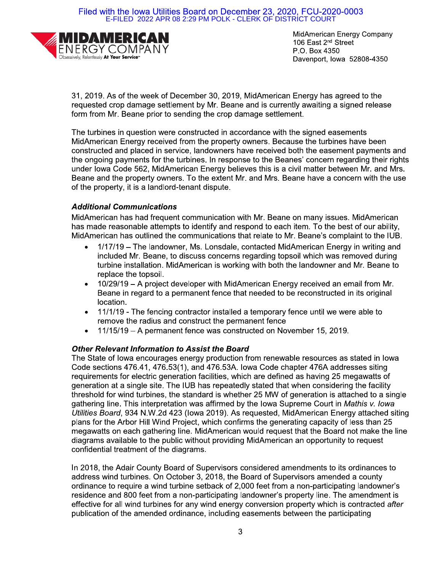Filed with the Iowa Utilities Board on December 23, 2020, FCU-2020-0003 E-FILED 2022 APR 08 2:29 PM POLK - CLERK OF DISTRICT COURT



MidAmerican Energy Company 106 East 2<sup>nd</sup> Street P.O. Box 4350 Davenport, Iowa 52808-4350

31, 2019. As of the week of December 30, 2019, MidAmerican Energy has agreed to the requested crop damage settlement by Mr. Beane and is currently awaiting a signed release form from Mr. Beane prior to sending the crop damage settlement.

The turbines in question were constructed in accordance with the signed easements MidAmerican Energy received from the property owners. Because the turbines have been constructed and placed in service, landowners have received both the easement payments and the ongoing payments for the turbines. In response to the Beanes' concern regarding their rights under Iowa Code 562, MidAmerican Energy believes this is a civil matter between Mr. and Mrs. Beane and the property owners. To the extent Mr. and Mrs. Beane have a concern with the use of the property, it is a landlord-tenant dispute.

# **Additional Communications**

MidAmerican has had frequent communication with Mr. Beane on many issues. MidAmerican has made reasonable attempts to identify and respond to each item. To the best of our ability, MidAmerican has outlined the communications that relate to Mr. Beane's complaint to the IUB.

- 1/17/19 The landowner, Ms. Lonsdale, contacted MidAmerican Energy in writing and  $\bullet$ included Mr. Beane, to discuss concerns regarding topsoil which was removed during turbine installation. MidAmerican is working with both the landowner and Mr. Beane to replace the topsoil.
- 10/29/19 A project developer with MidAmerican Energy received an email from Mr.  $\bullet$ Beane in regard to a permanent fence that needed to be reconstructed in its original location.
- 11/1/19 The fencing contractor installed a temporary fence until we were able to  $\bullet$ remove the radius and construct the permanent fence
- 11/15/19 A permanent fence was constructed on November 15, 2019.

## **Other Relevant Information to Assist the Board**

The State of lowa encourages energy production from renewable resources as stated in lowa Code sections 476.41, 476.53(1), and 476.53A. lowa Code chapter 476A addresses siting requirements for electric generation facilities, which are defined as having 25 megawatts of generation at a single site. The IUB has repeatedly stated that when considering the facility threshold for wind turbines, the standard is whether 25 MW of generation is attached to a single gathering line. This interpretation was affirmed by the lowa Supreme Court in Mathis v. Iowa Utilities Board, 934 N.W.2d 423 (Iowa 2019). As requested, MidAmerican Energy attached siting plans for the Arbor Hill Wind Project, which confirms the generating capacity of less than 25 megawatts on each gathering line. MidAmerican would request that the Board not make the line diagrams available to the public without providing MidAmerican an opportunity to request confidential treatment of the diagrams.

In 2018, the Adair County Board of Supervisors considered amendments to its ordinances to address wind turbines. On October 3, 2018, the Board of Supervisors amended a county ordinance to require a wind turbine setback of 2,000 feet from a non-participating landowner's residence and 800 feet from a non-participating landowner's property line. The amendment is effective for all wind turbines for any wind energy conversion property which is contracted after publication of the amended ordinance, including easements between the participating